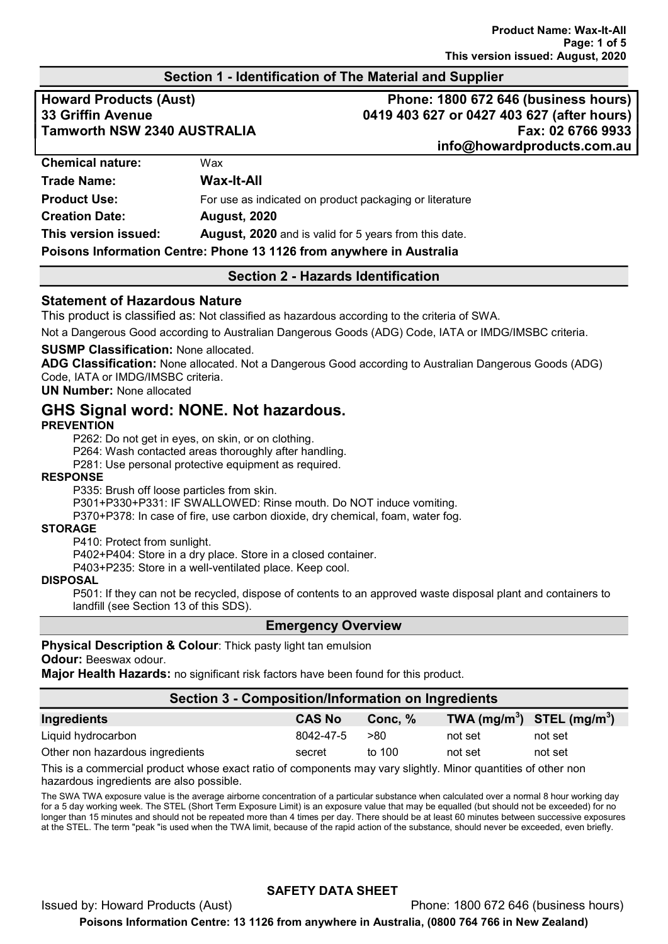# Section 1 - Identification of The Material and Supplier

Howard Products (Aust) **Phone: 1800 672 646 (business hours)** 33 Griffin Avenue 0419 403 627 or 0427 403 627 (after hours) Tamworth NSW 2340 AUSTRALIA Fax: 02 6766 9933 info@howardproducts.com.au

| <b>Chemical nature:</b>                                              | Wax                                                          |  |  |
|----------------------------------------------------------------------|--------------------------------------------------------------|--|--|
| <b>Trade Name:</b>                                                   | Wax-It-All                                                   |  |  |
| <b>Product Use:</b>                                                  | For use as indicated on product packaging or literature      |  |  |
| <b>Creation Date:</b>                                                | <b>August, 2020</b>                                          |  |  |
| This version issued:                                                 | <b>August, 2020</b> and is valid for 5 years from this date. |  |  |
| Poisons Information Centre: Phone 13 1126 from anywhere in Australia |                                                              |  |  |

# Section 2 - Hazards Identification

## Statement of Hazardous Nature

This product is classified as: Not classified as hazardous according to the criteria of SWA.

Not a Dangerous Good according to Australian Dangerous Goods (ADG) Code, IATA or IMDG/IMSBC criteria.

#### SUSMP Classification: None allocated.

ADG Classification: None allocated. Not a Dangerous Good according to Australian Dangerous Goods (ADG) Code, IATA or IMDG/IMSBC criteria.

UN Number: None allocated

# GHS Signal word: NONE. Not hazardous.

#### **PREVENTION**

P262: Do not get in eyes, on skin, or on clothing.

P264: Wash contacted areas thoroughly after handling.

P281: Use personal protective equipment as required.

#### RESPONSE

P335: Brush off loose particles from skin.

P301+P330+P331: IF SWALLOWED: Rinse mouth. Do NOT induce vomiting.

P370+P378: In case of fire, use carbon dioxide, dry chemical, foam, water fog.

#### **STORAGE**

P410: Protect from sunlight.

P402+P404: Store in a dry place. Store in a closed container.

P403+P235: Store in a well-ventilated place. Keep cool.

## DISPOSAL

P501: If they can not be recycled, dispose of contents to an approved waste disposal plant and containers to landfill (see Section 13 of this SDS).

### Emergency Overview

### Physical Description & Colour: Thick pasty light tan emulsion

#### Odour: Beeswax odour.

Major Health Hazards: no significant risk factors have been found for this product.

### Section 3 - Composition/Information on Ingredients

| Ingredients                     | <b>CAS No</b> | Conc. % | TWA $(mg/m^3)$ STEL $(mg/m^3)$ |         |
|---------------------------------|---------------|---------|--------------------------------|---------|
| Liquid hydrocarbon              | 8042-47-5     | >80     | not set                        | not set |
| Other non hazardous ingredients | secret        | to 100  | not set                        | not set |
|                                 |               |         |                                |         |

This is a commercial product whose exact ratio of components may vary slightly. Minor quantities of other non hazardous ingredients are also possible.

The SWA TWA exposure value is the average airborne concentration of a particular substance when calculated over a normal 8 hour working day for a 5 day working week. The STEL (Short Term Exposure Limit) is an exposure value that may be equalled (but should not be exceeded) for no longer than 15 minutes and should not be repeated more than 4 times per day. There should be at least 60 minutes between successive exposures at the STEL. The term "peak "is used when the TWA limit, because of the rapid action of the substance, should never be exceeded, even briefly.

# SAFETY DATA SHEET

Issued by: Howard Products (Aust) Phone: 1800 672 646 (business hours) Poisons Information Centre: 13 1126 from anywhere in Australia, (0800 764 766 in New Zealand)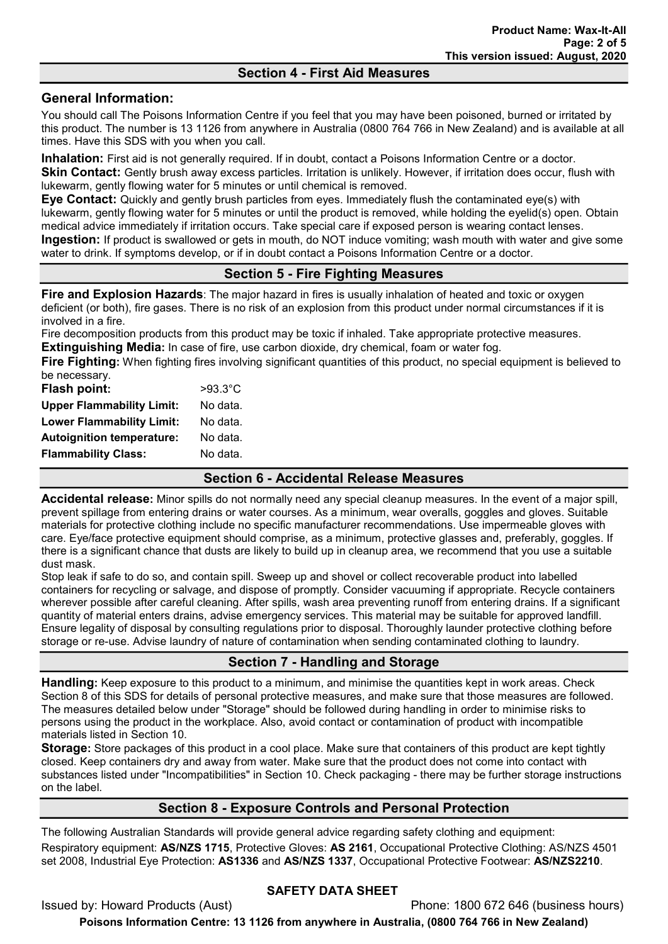# Section 4 - First Aid Measures

# General Information:

You should call The Poisons Information Centre if you feel that you may have been poisoned, burned or irritated by this product. The number is 13 1126 from anywhere in Australia (0800 764 766 in New Zealand) and is available at all times. Have this SDS with you when you call.

Inhalation: First aid is not generally required. If in doubt, contact a Poisons Information Centre or a doctor. **Skin Contact:** Gently brush away excess particles. Irritation is unlikely. However, if irritation does occur, flush with lukewarm, gently flowing water for 5 minutes or until chemical is removed.

Eye Contact: Quickly and gently brush particles from eyes. Immediately flush the contaminated eye(s) with lukewarm, gently flowing water for 5 minutes or until the product is removed, while holding the eyelid(s) open. Obtain medical advice immediately if irritation occurs. Take special care if exposed person is wearing contact lenses. Ingestion: If product is swallowed or gets in mouth, do NOT induce vomiting; wash mouth with water and give some water to drink. If symptoms develop, or if in doubt contact a Poisons Information Centre or a doctor.

# Section 5 - Fire Fighting Measures

Fire and Explosion Hazards: The major hazard in fires is usually inhalation of heated and toxic or oxygen deficient (or both), fire gases. There is no risk of an explosion from this product under normal circumstances if it is involved in a fire.

Fire decomposition products from this product may be toxic if inhaled. Take appropriate protective measures. Extinguishing Media: In case of fire, use carbon dioxide, dry chemical, foam or water fog.

Fire Fighting: When fighting fires involving significant quantities of this product, no special equipment is believed to be necessary.

| Flash point:                     | $>93.3^{\circ}$ C |
|----------------------------------|-------------------|
| <b>Upper Flammability Limit:</b> | No data.          |
| <b>Lower Flammability Limit:</b> | No data.          |
| <b>Autoignition temperature:</b> | No data.          |
| <b>Flammability Class:</b>       | No data.          |
|                                  |                   |

## Section 6 - Accidental Release Measures

Accidental release: Minor spills do not normally need any special cleanup measures. In the event of a major spill, prevent spillage from entering drains or water courses. As a minimum, wear overalls, goggles and gloves. Suitable materials for protective clothing include no specific manufacturer recommendations. Use impermeable gloves with care. Eye/face protective equipment should comprise, as a minimum, protective glasses and, preferably, goggles. If there is a significant chance that dusts are likely to build up in cleanup area, we recommend that you use a suitable dust mask.

Stop leak if safe to do so, and contain spill. Sweep up and shovel or collect recoverable product into labelled containers for recycling or salvage, and dispose of promptly. Consider vacuuming if appropriate. Recycle containers wherever possible after careful cleaning. After spills, wash area preventing runoff from entering drains. If a significant quantity of material enters drains, advise emergency services. This material may be suitable for approved landfill. Ensure legality of disposal by consulting regulations prior to disposal. Thoroughly launder protective clothing before storage or re-use. Advise laundry of nature of contamination when sending contaminated clothing to laundry.

# Section 7 - Handling and Storage

Handling: Keep exposure to this product to a minimum, and minimise the quantities kept in work areas. Check Section 8 of this SDS for details of personal protective measures, and make sure that those measures are followed. The measures detailed below under "Storage" should be followed during handling in order to minimise risks to persons using the product in the workplace. Also, avoid contact or contamination of product with incompatible materials listed in Section 10.

**Storage:** Store packages of this product in a cool place. Make sure that containers of this product are kept tightly closed. Keep containers dry and away from water. Make sure that the product does not come into contact with substances listed under "Incompatibilities" in Section 10. Check packaging - there may be further storage instructions on the label.

# Section 8 - Exposure Controls and Personal Protection

The following Australian Standards will provide general advice regarding safety clothing and equipment: Respiratory equipment: AS/NZS 1715, Protective Gloves: AS 2161, Occupational Protective Clothing: AS/NZS 4501 set 2008, Industrial Eye Protection: AS1336 and AS/NZS 1337, Occupational Protective Footwear: AS/NZS2210.

# SAFETY DATA SHEET

Issued by: Howard Products (Aust) Phone: 1800 672 646 (business hours) Poisons Information Centre: 13 1126 from anywhere in Australia, (0800 764 766 in New Zealand)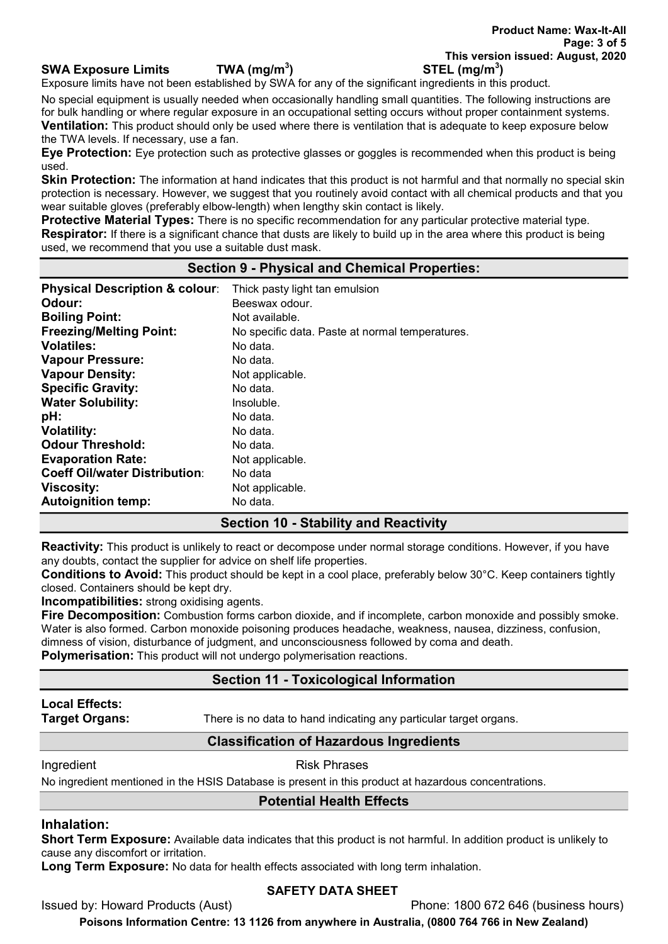# SWA Exposure Limits  $TWA (mq/m<sup>3</sup>)$

Exposure limits have not been established by SWA for any of the significant ingredients in this product.

No special equipment is usually needed when occasionally handling small quantities. The following instructions are for bulk handling or where regular exposure in an occupational setting occurs without proper containment systems. **Ventilation:** This product should only be used where there is ventilation that is adequate to keep exposure below the TWA levels. If necessary, use a fan.

Eye Protection: Eye protection such as protective glasses or goggles is recommended when this product is being used.

Skin Protection: The information at hand indicates that this product is not harmful and that normally no special skin protection is necessary. However, we suggest that you routinely avoid contact with all chemical products and that you wear suitable gloves (preferably elbow-length) when lengthy skin contact is likely.

**Protective Material Types:** There is no specific recommendation for any particular protective material type. Respirator: If there is a significant chance that dusts are likely to build up in the area where this product is being used, we recommend that you use a suitable dust mask.

## Section 9 - Physical and Chemical Properties:

| <b>Physical Description &amp; colour:</b> | Thick pasty light tan emulsion                  |
|-------------------------------------------|-------------------------------------------------|
| Odour:                                    | Beeswax odour.                                  |
| <b>Boiling Point:</b>                     | Not available.                                  |
| <b>Freezing/Melting Point:</b>            | No specific data. Paste at normal temperatures. |
| <b>Volatiles:</b>                         | No data.                                        |
| <b>Vapour Pressure:</b>                   | No data.                                        |
| <b>Vapour Density:</b>                    | Not applicable.                                 |
| <b>Specific Gravity:</b>                  | No data.                                        |
| <b>Water Solubility:</b>                  | Insoluble.                                      |
| pH:                                       | No data.                                        |
| <b>Volatility:</b>                        | No data.                                        |
| <b>Odour Threshold:</b>                   | No data.                                        |
| <b>Evaporation Rate:</b>                  | Not applicable.                                 |
| <b>Coeff Oil/water Distribution:</b>      | No data                                         |
| <b>Viscosity:</b>                         | Not applicable.                                 |
| <b>Autoignition temp:</b>                 | No data.                                        |

# Section 10 - Stability and Reactivity

Reactivity: This product is unlikely to react or decompose under normal storage conditions. However, if you have any doubts, contact the supplier for advice on shelf life properties.

Conditions to Avoid: This product should be kept in a cool place, preferably below 30°C. Keep containers tightly closed. Containers should be kept dry.

Incompatibilities: strong oxidising agents.

Fire Decomposition: Combustion forms carbon dioxide, and if incomplete, carbon monoxide and possibly smoke. Water is also formed. Carbon monoxide poisoning produces headache, weakness, nausea, dizziness, confusion, dimness of vision, disturbance of judgment, and unconsciousness followed by coma and death.

Polymerisation: This product will not undergo polymerisation reactions.

# Section 11 - Toxicological Information

# Local Effects:

**Target Organs:** There is no data to hand indicating any particular target organs.

# Classification of Hazardous Ingredients

### Ingredient **Risk Phrases**

No ingredient mentioned in the HSIS Database is present in this product at hazardous concentrations.

# Potential Health Effects

# Inhalation:

Short Term Exposure: Available data indicates that this product is not harmful. In addition product is unlikely to cause any discomfort or irritation.

Long Term Exposure: No data for health effects associated with long term inhalation.

# SAFETY DATA SHEET

Issued by: Howard Products (Aust) Phone: 1800 672 646 (business hours)

Poisons Information Centre: 13 1126 from anywhere in Australia, (0800 764 766 in New Zealand)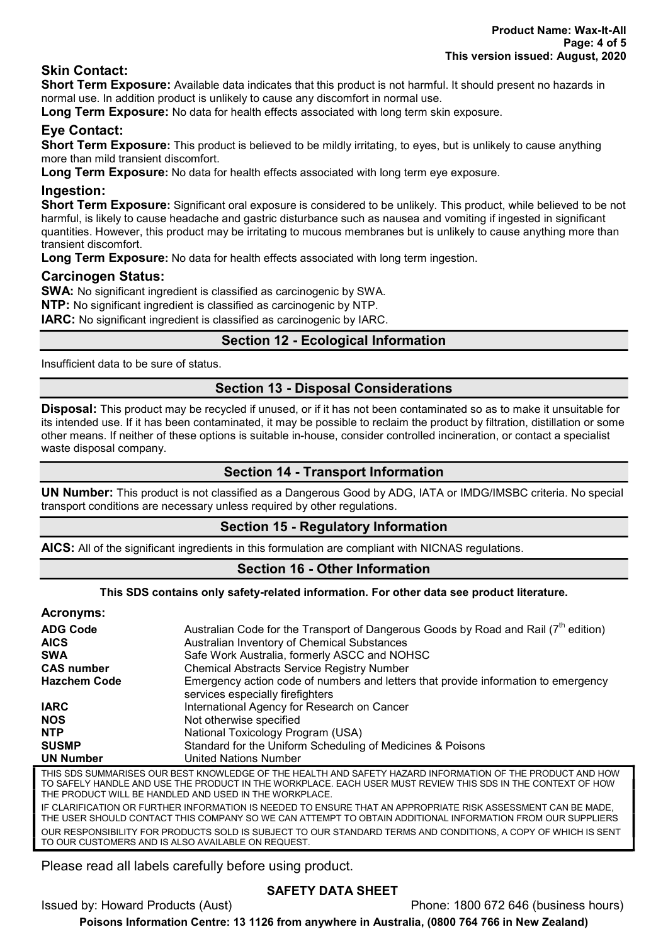# Skin Contact:

Short Term Exposure: Available data indicates that this product is not harmful. It should present no hazards in normal use. In addition product is unlikely to cause any discomfort in normal use.

Long Term Exposure: No data for health effects associated with long term skin exposure.

# Eye Contact:

Short Term Exposure: This product is believed to be mildly irritating, to eyes, but is unlikely to cause anything more than mild transient discomfort.

Long Term Exposure: No data for health effects associated with long term eye exposure.

# Ingestion:

Short Term Exposure: Significant oral exposure is considered to be unlikely. This product, while believed to be not harmful, is likely to cause headache and gastric disturbance such as nausea and vomiting if ingested in significant quantities. However, this product may be irritating to mucous membranes but is unlikely to cause anything more than transient discomfort.

Long Term Exposure: No data for health effects associated with long term ingestion.

# Carcinogen Status:

SWA: No significant ingredient is classified as carcinogenic by SWA.

NTP: No significant ingredient is classified as carcinogenic by NTP.

**IARC:** No significant ingredient is classified as carcinogenic by IARC.

# Section 12 - Ecological Information

Insufficient data to be sure of status.

# Section 13 - Disposal Considerations

Disposal: This product may be recycled if unused, or if it has not been contaminated so as to make it unsuitable for its intended use. If it has been contaminated, it may be possible to reclaim the product by filtration, distillation or some other means. If neither of these options is suitable in-house, consider controlled incineration, or contact a specialist waste disposal company.

# Section 14 - Transport Information

UN Number: This product is not classified as a Dangerous Good by ADG, IATA or IMDG/IMSBC criteria. No special transport conditions are necessary unless required by other regulations.

# Section 15 - Regulatory Information

AICS: All of the significant ingredients in this formulation are compliant with NICNAS regulations.

# Section 16 - Other Information

### This SDS contains only safety-related information. For other data see product literature.

### Acronyms:

| .                   |                                                                                                                        |
|---------------------|------------------------------------------------------------------------------------------------------------------------|
| <b>ADG Code</b>     | Australian Code for the Transport of Dangerous Goods by Road and Rail (7 <sup>th</sup> edition)                        |
| <b>AICS</b>         | Australian Inventory of Chemical Substances                                                                            |
| <b>SWA</b>          | Safe Work Australia, formerly ASCC and NOHSC                                                                           |
| <b>CAS number</b>   | <b>Chemical Abstracts Service Registry Number</b>                                                                      |
| <b>Hazchem Code</b> | Emergency action code of numbers and letters that provide information to emergency<br>services especially firefighters |
| <b>IARC</b>         | International Agency for Research on Cancer                                                                            |
| <b>NOS</b>          | Not otherwise specified                                                                                                |
| <b>NTP</b>          | National Toxicology Program (USA)                                                                                      |
| <b>SUSMP</b>        | Standard for the Uniform Scheduling of Medicines & Poisons                                                             |
| <b>UN Number</b>    | United Nations Number                                                                                                  |
|                     | THIS SDS SUMMARISES OUR BEST KNOWLEDGE OF THE HEALTH AND SAFETY HAZARD INFORMATION OF THE PRODUCT AND HOW              |

TO SAFELY HANDLE AND USE THE PRODUCT IN THE WORKPLACE. EACH USER MUST REVIEW THIS SDS IN THE CONTEXT OF HOW THE PRODUCT WILL BE HANDLED AND USED IN THE WORKPLACE.

IF CLARIFICATION OR FURTHER INFORMATION IS NEEDED TO ENSURE THAT AN APPROPRIATE RISK ASSESSMENT CAN BE MADE, THE USER SHOULD CONTACT THIS COMPANY SO WE CAN ATTEMPT TO OBTAIN ADDITIONAL INFORMATION FROM OUR SUPPLIERS OUR RESPONSIBILITY FOR PRODUCTS SOLD IS SUBJECT TO OUR STANDARD TERMS AND CONDITIONS, A COPY OF WHICH IS SENT TO OUR CUSTOMERS AND IS ALSO AVAILABLE ON REQUEST.

Please read all labels carefully before using product.

# SAFETY DATA SHEET

Issued by: Howard Products (Aust) Phone: 1800 672 646 (business hours)

Poisons Information Centre: 13 1126 from anywhere in Australia, (0800 764 766 in New Zealand)